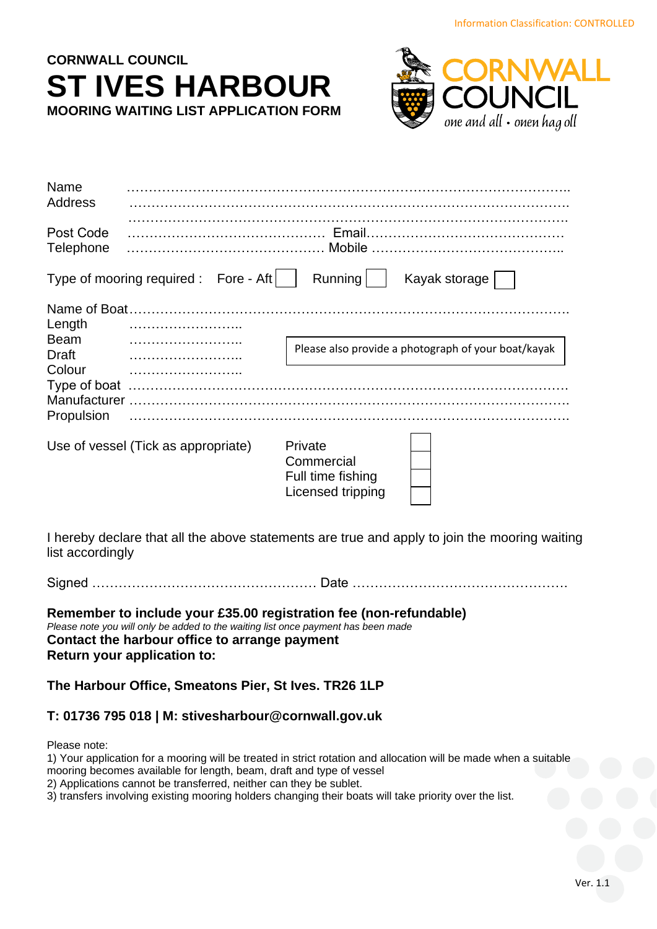# **CORNWALL COUNCIL ST IVES HARBOUR MOORING WAITING LIST APPLICATION FORM**



| Name<br><b>Address</b>                                                                                |                                       |                                                                 |                                                     |
|-------------------------------------------------------------------------------------------------------|---------------------------------------|-----------------------------------------------------------------|-----------------------------------------------------|
| Post Code<br>Telephone                                                                                |                                       |                                                                 |                                                     |
|                                                                                                       | Type of mooring required : Fore - Aft | Running                                                         | Kayak storage                                       |
| Name of Boat.<br>Length<br><b>Beam</b><br><b>Draft</b><br>Colour<br><b>Manufacturer</b><br>Propulsion |                                       |                                                                 | Please also provide a photograph of your boat/kayak |
|                                                                                                       | Use of vessel (Tick as appropriate)   | Private<br>Commercial<br>Full time fishing<br>Licensed tripping |                                                     |

I hereby declare that all the above statements are true and apply to join the mooring waiting list accordingly

Signed …………………………………………… Date ………………………………………….

**Remember to include your £35.00 registration fee (non-refundable)** *Please note you will only be added to the waiting list once payment has been made* **Contact the harbour office to arrange payment Return your application to:**

**The Harbour Office, Smeatons Pier, St Ives. TR26 1LP**

## **T: 01736 795 018 | M: stivesharbour@cornwall.gov.uk**

Please note:

1) Your application for a mooring will be treated in strict rotation and allocation will be made when a suitable mooring becomes available for length, beam, draft and type of vessel

2) Applications cannot be transferred, neither can they be sublet.

3) transfers involving existing mooring holders changing their boats will take priority over the list.